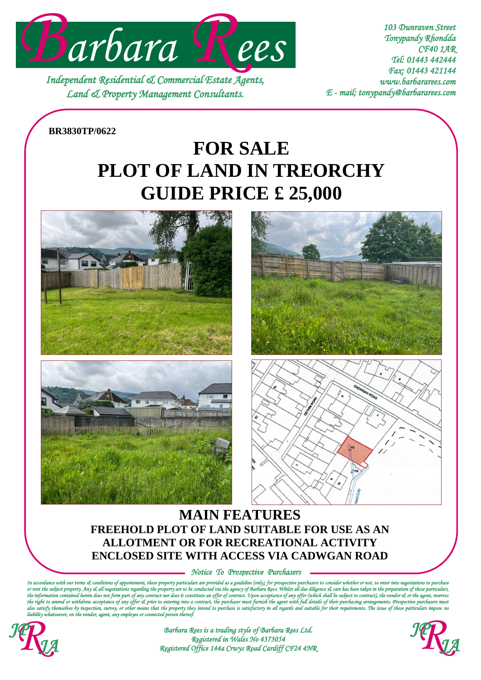

*Independent Residential & Commercial Estate Agents, Land & Property Management Consultants.* 

*103 Dunraven Street Tonypandy Rhondda CF40 1AR Tel: 01443 442444 Fax: 01443 421144 www.barbararees.com E - mail; tonypandy@barbararees.com* 

## **BR3830TP/0622**

# **PLOT OF LAND IN TREORCHY FOR SALE GUIDE PRICE £ 25,000**









# **MAIN FEATURES FREEHOLD PLOT OF LAND SUITABLE FOR USE AS AN ALLOTMENT OR FOR RECREATIONAL ACTIVITY ENCLOSED SITE WITH ACCESS VIA CADWGAN ROAD**

*Notice To Prospective Purchasers* 

*In accordance with our terms & conditions of appointment, these property particulars are provided as a guideline (only), for prospective purchasers to consider whether or not, to enter into negotiations to purchase*  is regarding the property are to be conducted via the agency of Barbara Rees. Whilst all due diligence & care has<br>rt of any contract nor does it constitute an offer of contract. Upon acceptance of any offer (which shall be the information contained herein does not form part of any contract nor does it constitute an offer of constract. Upon acceptance of any offer (which shall be subject to contract), the vendor & or the agen<br>the right to ame the right to amend or withdraw acceptance of any offer el. prior to entering into a contract, the purchaser must furnish the agent with full details of their purchasing arangements. Trospective purchasers must<br>also satisfy



*Barbara Rees is a trading style of Barbara Rees Ltd.*